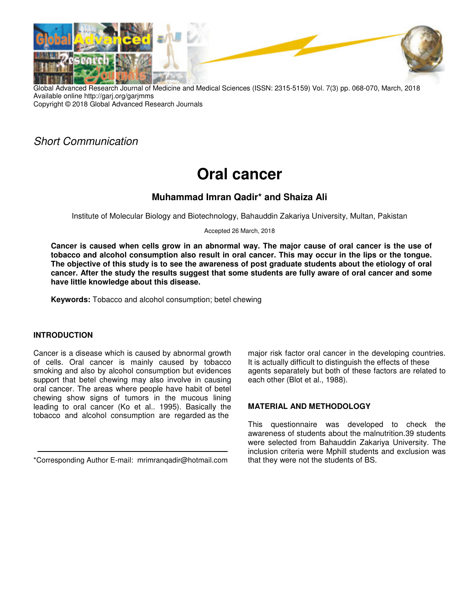

Global Advanced Research Journal of Medicine and Medical Sciences (ISSN: 2315-5159) Vol. 7(3) pp. 068-070, March, 2018 Available online http://garj.org/garjmms Copyright © 2018 Global Advanced Research Journals

# Short Communication

# **Oral cancer**

## **Muhammad Imran Qadir\* and Shaiza Ali**

Institute of Molecular Biology and Biotechnology, Bahauddin Zakariya University, Multan, Pakistan

Accepted 26 March, 2018

**Cancer is caused when cells grow in an abnormal way. The major cause of oral cancer is the use of tobacco and alcohol consumption also result in oral cancer. This may occur in the lips or the tongue. The objective of this study is to see the awareness of post graduate students about the etiology of oral cancer. After the study the results suggest that some students are fully aware of oral cancer and some have little knowledge about this disease.** 

**Keywords:** Tobacco and alcohol consumption; betel chewing

## **INTRODUCTION**

Cancer is a disease which is caused by abnormal growth of cells. Oral cancer is mainly caused by tobacco smoking and also by alcohol consumption but evidences support that betel chewing may also involve in causing oral cancer. The areas where people have habit of betel chewing show signs of tumors in the mucous lining leading to oral cancer (Ko et al.. 1995). Basically the tobacco and alcohol consumption are regarded as the

\*Corresponding Author E-mail: mrimranqadir@hotmail.com

major risk factor oral cancer in the developing countries. It is actually difficult to distinguish the effects of these agents separately but both of these factors are related to each other (Blot et al., 1988).

## **MATERIAL AND METHODOLOGY**

This questionnaire was developed to check the awareness of students about the malnutrition.39 students were selected from Bahauddin Zakariya University. The inclusion criteria were Mphill students and exclusion was that they were not the students of BS.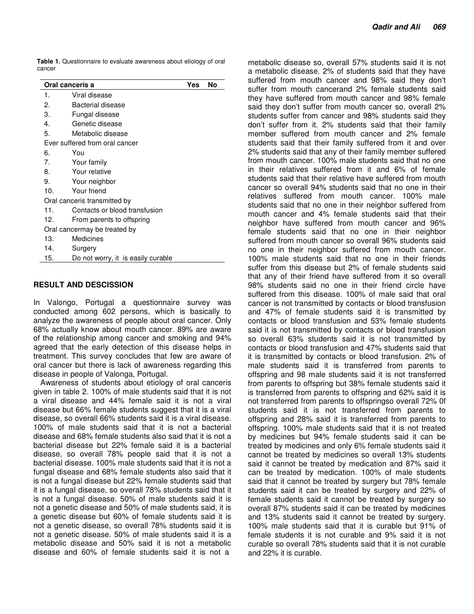**Table 1.** Questionnaire to evaluate awareness about etiology of oral cancer

| Oral canceris a                |                                    |  | No |  |
|--------------------------------|------------------------------------|--|----|--|
| 1.                             | Viral disease                      |  |    |  |
| 2.                             | Bacterial disease                  |  |    |  |
| 3.                             | Fungal disease                     |  |    |  |
| 4.                             | Genetic disease                    |  |    |  |
| 5.                             | Metabolic disease                  |  |    |  |
| Ever suffered from oral cancer |                                    |  |    |  |
| 6.                             | You                                |  |    |  |
| 7.                             | Your family                        |  |    |  |
| 8.                             | Your relative                      |  |    |  |
| 9.                             | Your neighbor                      |  |    |  |
| 10.                            | Your friend                        |  |    |  |
| Oral canceris transmitted by   |                                    |  |    |  |
| 11.                            | Contacts or blood transfusion      |  |    |  |
| 12.                            | From parents to offspring          |  |    |  |
| Oral cancermay be treated by   |                                    |  |    |  |
| 13.                            | Medicines                          |  |    |  |
| 14.                            | Surgery                            |  |    |  |
| 15.                            | Do not worry, it is easily curable |  |    |  |

#### **RESULT AND DESCISSION**

In Valongo, Portugal a questionnaire survey was conducted among 602 persons, which is basically to analyze the awareness of people about oral cancer. Only 68% actually know about mouth cancer. 89% are aware of the relationship among cancer and smoking and 94% agreed that the early detection of this disease helps in treatment. This survey concludes that few are aware of oral cancer but there is lack of awareness regarding this disease in people of Valonga, Portugal.

Awareness of students about etiology of oral canceris given in table 2. 100% of male students said that it is not a viral disease and 44% female said it is not a viral disease but 66% female students suggest that it is a viral disease, so overall 66% students said it is a viral disease. 100% of male students said that it is not a bacterial disease and 68% female students also said that it is not a bacterial disease but 22% female said it is a bacterial disease, so overall 78% people said that it is not a bacterial disease. 100% male students said that it is not a fungal disease and 68% female students also said that it is not a fungal disease but 22% female students said that it is a fungal disease, so overall 78% students said that it is not a fungal disease. 50% of male students said it is not a genetic disease and 50% of male students said, it is a genetic disease but 60% of female students said it is not a genetic disease, so overall 78% students said it is not a genetic disease. 50% of male students said it is a metabolic disease and 50% said it is not a metabolic disease and 60% of female students said it is not a

metabolic disease so, overall 57% students said it is not a metabolic disease. 2% of students said that they have suffered from mouth cancer and 98% said they don't suffer from mouth cancerand 2% female students said they have suffered from mouth cancer and 98% female said they don't suffer from mouth cancer so, overall 2% students suffer from cancer and 98% students said they don't suffer from it. 2% students said that their family member suffered from mouth cancer and 2% female students said that their family suffered from it and over 2% students said that any of their family member suffered from mouth cancer. 100% male students said that no one in their relatives suffered from it and 6% of female students said that their relative have suffered from mouth cancer so overall 94% students said that no one in their relatives suffered from mouth cancer. 100% male students said that no one in their neighbor suffered from mouth cancer and 4% female students said that their neighbor have suffered from mouth cancer and 96% female students said that no one in their neighbor suffered from mouth cancer so overall 96% students said no one in their neighbor suffered from mouth cancer. 100% male students said that no one in their friends suffer from this disease but 2% of female students said that any of their friend have suffered from it so overall 98% students said no one in their friend circle have suffered from this disease. 100% of male said that oral cancer is not transmitted by contacts or blood transfusion and 47% of female students said it is transmitted by contacts or blood transfusion and 53% female students said it is not transmitted by contacts or blood transfusion so overall 63% students said it is not transmitted by contacts or blood transfusion and 47% students said that it is transmitted by contacts or blood transfusion. 2% of male students said it is transferred from parents to offspring and 98 male students said it is not transferred from parents to offspring but 38% female students said it is transferred from parents to offspring and 62% said it is not transferred from parents to offspringso overall 72% 0f students said it is not transferred from parents to offspring and 28% said it is transferred from parents to offspring. 100% male students said that it is not treated by medicines but 94% female students said it can be treated by medicines and only 6% female students said it cannot be treated by medicines so overall 13% students said it cannot be treated by medication and 87% said it can be treated by medication. 100% of male students said that it cannot be treated by surgery but 78% female students said it can be treated by surgery and 22% of female students said it cannot be treated by surgery so overall 87% students said it can be treated by medicines and 13% students said it cannot be treated by surgery. 100% male students said that it is curable but 91% of female students it is not curable and 9% said it is not curable so overall 78% students said that it is not curable and 22% it is curable.